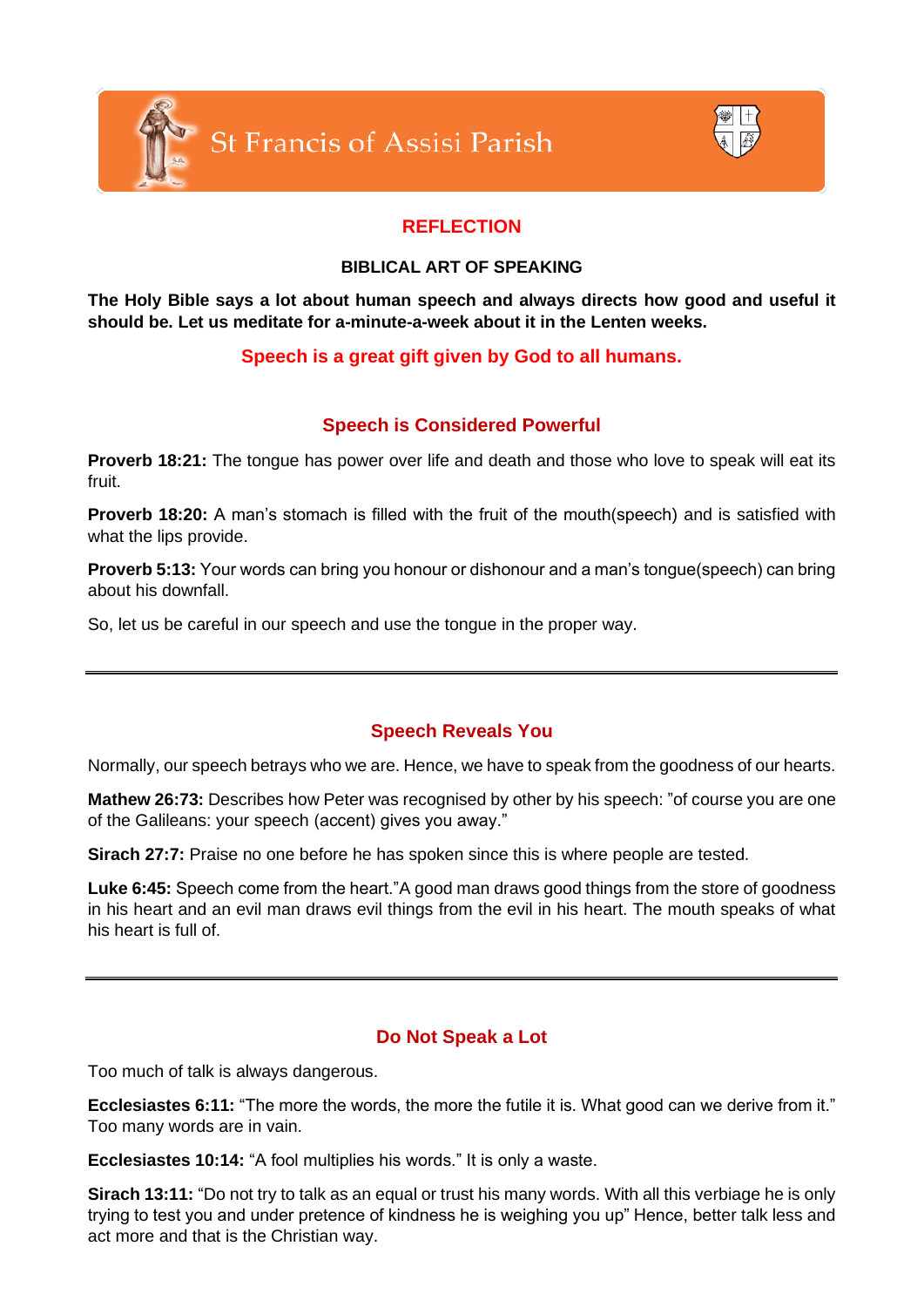



# **REFLECTION**

### **BIBLICAL ART OF SPEAKING**

**The Holy Bible says a lot about human speech and always directs how good and useful it should be. Let us meditate for a-minute-a-week about it in the Lenten weeks.**

## **Speech is a great gift given by God to all humans.**

## **Speech is Considered Powerful**

**Proverb 18:21:** The tongue has power over life and death and those who love to speak will eat its fruit.

**Proverb 18:20:** A man's stomach is filled with the fruit of the mouth(speech) and is satisfied with what the lips provide.

**Proverb 5:13:** Your words can bring you honour or dishonour and a man's tongue(speech) can bring about his downfall.

So, let us be careful in our speech and use the tongue in the proper way.

## **Speech Reveals You**

Normally, our speech betrays who we are. Hence, we have to speak from the goodness of our hearts.

**Mathew 26:73:** Describes how Peter was recognised by other by his speech: "of course you are one of the Galileans: your speech (accent) gives you away."

**Sirach 27:7:** Praise no one before he has spoken since this is where people are tested.

**Luke 6:45:** Speech come from the heart."A good man draws good things from the store of goodness in his heart and an evil man draws evil things from the evil in his heart. The mouth speaks of what his heart is full of.

## **Do Not Speak a Lot**

Too much of talk is always dangerous.

**Ecclesiastes 6:11:** "The more the words, the more the futile it is. What good can we derive from it." Too many words are in vain.

**Ecclesiastes 10:14:** "A fool multiplies his words." It is only a waste.

**Sirach 13:11:** "Do not try to talk as an equal or trust his many words. With all this verbiage he is only trying to test you and under pretence of kindness he is weighing you up" Hence, better talk less and act more and that is the Christian way.